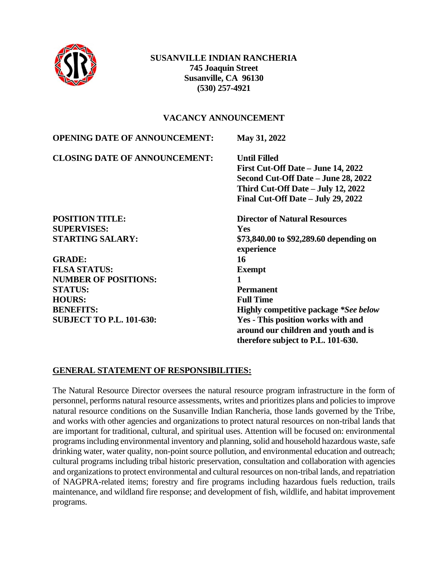

### **SUSANVILLE INDIAN RANCHERIA 745 Joaquin Street Susanville, CA 96130 (530) 257-4921**

#### **VACANCY ANNOUNCEMENT**

| <b>OPENING DATE OF ANNOUNCEMENT:</b> | May 31, 2022                                 |
|--------------------------------------|----------------------------------------------|
| <b>CLOSING DATE OF ANNOUNCEMENT:</b> | <b>Until Filled</b>                          |
|                                      | First Cut-Off Date – June 14, 2022           |
|                                      | Second Cut-Off Date – June 28, 2022          |
|                                      | Third Cut-Off Date – July 12, 2022           |
|                                      | Final Cut-Off Date – July 29, 2022           |
| <b>POSITION TITLE:</b>               | <b>Director of Natural Resources</b>         |
| <b>SUPERVISES:</b>                   | <b>Yes</b>                                   |
| <b>STARTING SALARY:</b>              | \$73,840.00 to \$92,289.60 depending on      |
|                                      | experience                                   |
| <b>GRADE:</b>                        | 16                                           |
| <b>FLSA STATUS:</b>                  | <b>Exempt</b>                                |
| <b>NUMBER OF POSITIONS:</b>          | 1                                            |
| <b>STATUS:</b>                       | <b>Permanent</b>                             |
| <b>HOURS:</b>                        | <b>Full Time</b>                             |
| <b>BENEFITS:</b>                     | <b>Highly competitive package *See below</b> |
| <b>SUBJECT TO P.L. 101-630:</b>      | Yes - This position works with and           |
|                                      | around our children and youth and is         |
|                                      | therefore subject to P.L. 101-630.           |

### **GENERAL STATEMENT OF RESPONSIBILITIES:**

The Natural Resource Director oversees the natural resource program infrastructure in the form of personnel, performs natural resource assessments, writes and prioritizes plans and policies to improve natural resource conditions on the Susanville Indian Rancheria, those lands governed by the Tribe, and works with other agencies and organizations to protect natural resources on non-tribal lands that are important for traditional, cultural, and spiritual uses. Attention will be focused on: environmental programs including environmental inventory and planning, solid and household hazardous waste, safe drinking water, water quality, non-point source pollution, and environmental education and outreach; cultural programs including tribal historic preservation, consultation and collaboration with agencies and organizations to protect environmental and cultural resources on non-tribal lands, and repatriation of NAGPRA-related items; forestry and fire programs including hazardous fuels reduction, trails maintenance, and wildland fire response; and development of fish, wildlife, and habitat improvement programs.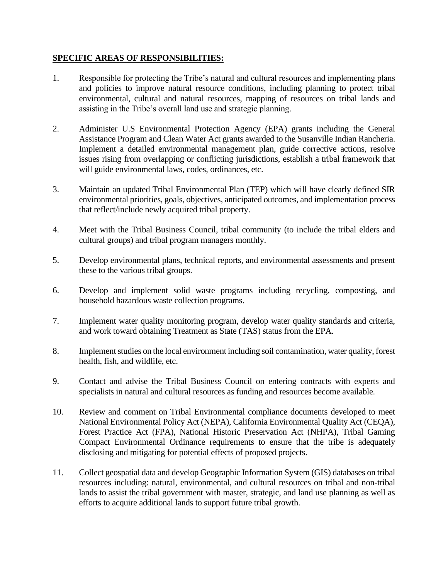#### **SPECIFIC AREAS OF RESPONSIBILITIES:**

- 1. Responsible for protecting the Tribe's natural and cultural resources and implementing plans and policies to improve natural resource conditions, including planning to protect tribal environmental, cultural and natural resources, mapping of resources on tribal lands and assisting in the Tribe's overall land use and strategic planning.
- 2. Administer U.S Environmental Protection Agency (EPA) grants including the General Assistance Program and Clean Water Act grants awarded to the Susanville Indian Rancheria. Implement a detailed environmental management plan, guide corrective actions, resolve issues rising from overlapping or conflicting jurisdictions, establish a tribal framework that will guide environmental laws, codes, ordinances, etc.
- 3. Maintain an updated Tribal Environmental Plan (TEP) which will have clearly defined SIR environmental priorities, goals, objectives, anticipated outcomes, and implementation process that reflect/include newly acquired tribal property.
- 4. Meet with the Tribal Business Council, tribal community (to include the tribal elders and cultural groups) and tribal program managers monthly.
- 5. Develop environmental plans, technical reports, and environmental assessments and present these to the various tribal groups.
- 6. Develop and implement solid waste programs including recycling, composting, and household hazardous waste collection programs.
- 7. Implement water quality monitoring program, develop water quality standards and criteria, and work toward obtaining Treatment as State (TAS) status from the EPA.
- 8. Implement studies on the local environment including soil contamination, water quality, forest health, fish, and wildlife, etc.
- 9. Contact and advise the Tribal Business Council on entering contracts with experts and specialists in natural and cultural resources as funding and resources become available.
- 10. Review and comment on Tribal Environmental compliance documents developed to meet National Environmental Policy Act (NEPA), California Environmental Quality Act (CEQA), Forest Practice Act (FPA), National Historic Preservation Act (NHPA), Tribal Gaming Compact Environmental Ordinance requirements to ensure that the tribe is adequately disclosing and mitigating for potential effects of proposed projects.
- 11. Collect geospatial data and develop Geographic Information System (GIS) databases on tribal resources including: natural, environmental, and cultural resources on tribal and non-tribal lands to assist the tribal government with master, strategic, and land use planning as well as efforts to acquire additional lands to support future tribal growth.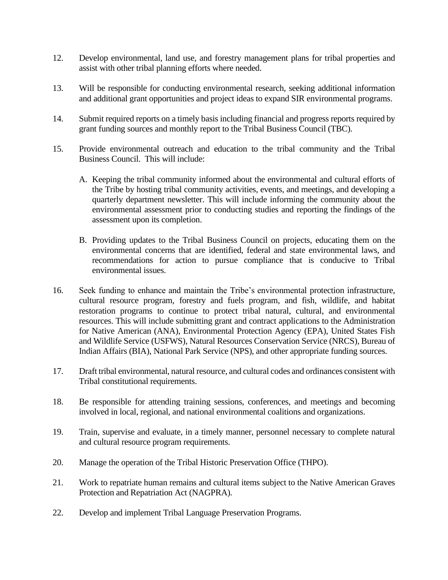- 12. Develop environmental, land use, and forestry management plans for tribal properties and assist with other tribal planning efforts where needed.
- 13. Will be responsible for conducting environmental research, seeking additional information and additional grant opportunities and project ideas to expand SIR environmental programs.
- 14. Submit required reports on a timely basis including financial and progress reports required by grant funding sources and monthly report to the Tribal Business Council (TBC).
- 15. Provide environmental outreach and education to the tribal community and the Tribal Business Council. This will include:
	- A. Keeping the tribal community informed about the environmental and cultural efforts of the Tribe by hosting tribal community activities, events, and meetings, and developing a quarterly department newsletter. This will include informing the community about the environmental assessment prior to conducting studies and reporting the findings of the assessment upon its completion.
	- B. Providing updates to the Tribal Business Council on projects, educating them on the environmental concerns that are identified, federal and state environmental laws, and recommendations for action to pursue compliance that is conducive to Tribal environmental issues.
- 16. Seek funding to enhance and maintain the Tribe's environmental protection infrastructure, cultural resource program, forestry and fuels program, and fish, wildlife, and habitat restoration programs to continue to protect tribal natural, cultural, and environmental resources. This will include submitting grant and contract applications to the Administration for Native American (ANA), Environmental Protection Agency (EPA), United States Fish and Wildlife Service (USFWS), Natural Resources Conservation Service (NRCS), Bureau of Indian Affairs (BIA), National Park Service (NPS), and other appropriate funding sources.
- 17. Draft tribal environmental, natural resource, and cultural codes and ordinances consistent with Tribal constitutional requirements.
- 18. Be responsible for attending training sessions, conferences, and meetings and becoming involved in local, regional, and national environmental coalitions and organizations.
- 19. Train, supervise and evaluate, in a timely manner, personnel necessary to complete natural and cultural resource program requirements.
- 20. Manage the operation of the Tribal Historic Preservation Office (THPO).
- 21. Work to repatriate human remains and cultural items subject to the Native American Graves Protection and Repatriation Act (NAGPRA).
- 22. Develop and implement Tribal Language Preservation Programs.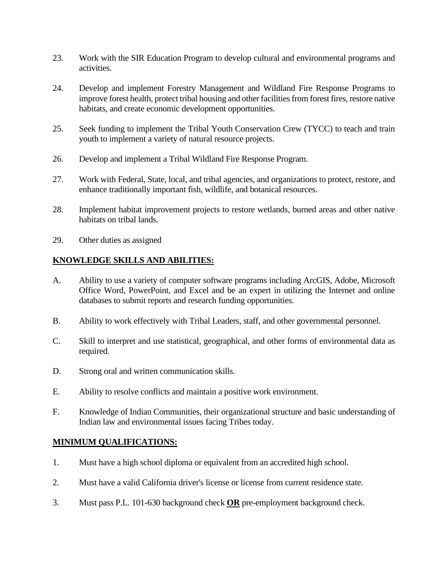- 23. Work with the SIR Education Program to develop cultural and environmental programs and activities.
- 24. Develop and implement Forestry Management and Wildland Fire Response Programs to improve forest health, protect tribal housing and other facilities from forest fires, restore native habitats, and create economic development opportunities.
- 25. Seek funding to implement the Tribal Youth Conservation Crew (TYCC) to teach and train youth to implement a variety of natural resource projects.
- 26. Develop and implement a Tribal Wildland Fire Response Program.
- 27. Work with Federal, State, local, and tribal agencies, and organizations to protect, restore, and enhance traditionally important fish, wildlife, and botanical resources.
- 28. Implement habitat improvement projects to restore wetlands, burned areas and other native habitats on tribal lands.
- 29. Other duties as assigned

### **KNOWLEDGE SKILLS AND ABILITIES:**

- A. Ability to use a variety of computer software programs including ArcGIS, Adobe, Microsoft Office Word, PowerPoint, and Excel and be an expert in utilizing the Internet and online databases to submit reports and research funding opportunities.
- B. Ability to work effectively with Tribal Leaders, staff, and other governmental personnel.
- C. Skill to interpret and use statistical, geographical, and other forms of environmental data as required.
- D. Strong oral and written communication skills.
- E. Ability to resolve conflicts and maintain a positive work environment.
- F. Knowledge of Indian Communities, their organizational structure and basic understanding of Indian law and environmental issues facing Tribes today.

### **MINIMUM QUALIFICATIONS:**

- 1. Must have a high school diploma or equivalent from an accredited high school.
- 2. Must have a valid California driver's license or license from current residence state.
- 3. Must pass P.L. 101-630 background check **OR** pre-employment background check.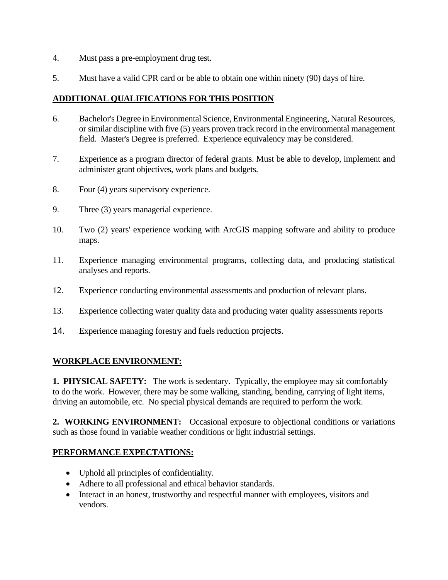- 4. Must pass a pre-employment drug test.
- 5. Must have a valid CPR card or be able to obtain one within ninety (90) days of hire.

# **ADDITIONAL QUALIFICATIONS FOR THIS POSITION**

- 6. Bachelor's Degree in Environmental Science, Environmental Engineering, Natural Resources, or similar discipline with five (5) years proven track record in the environmental management field. Master's Degree is preferred. Experience equivalency may be considered.
- 7. Experience as a program director of federal grants. Must be able to develop, implement and administer grant objectives, work plans and budgets.
- 8. Four (4) years supervisory experience.
- 9. Three (3) years managerial experience.
- 10. Two (2) years' experience working with ArcGIS mapping software and ability to produce maps.
- 11. Experience managing environmental programs, collecting data, and producing statistical analyses and reports.
- 12. Experience conducting environmental assessments and production of relevant plans.
- 13. Experience collecting water quality data and producing water quality assessments reports
- 14. Experience managing forestry and fuels reduction projects.

### **WORKPLACE ENVIRONMENT:**

**1. PHYSICAL SAFETY:** The work is sedentary. Typically, the employee may sit comfortably to do the work. However, there may be some walking, standing, bending, carrying of light items, driving an automobile, etc. No special physical demands are required to perform the work.

**2. WORKING ENVIRONMENT:** Occasional exposure to objectional conditions or variations such as those found in variable weather conditions or light industrial settings.

#### **PERFORMANCE EXPECTATIONS:**

- Uphold all principles of confidentiality.
- Adhere to all professional and ethical behavior standards.
- Interact in an honest, trustworthy and respectful manner with employees, visitors and vendors.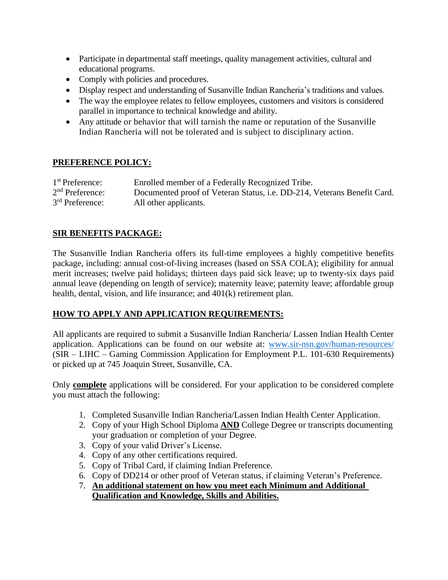- Participate in departmental staff meetings, quality management activities, cultural and educational programs.
- Comply with policies and procedures.
- Display respect and understanding of Susanville Indian Rancheria's traditions and values.
- The way the employee relates to fellow employees, customers and visitors is considered parallel in importance to technical knowledge and ability.
- Any attitude or behavior that will tarnish the name or reputation of the Susanville Indian Rancheria will not be tolerated and is subject to disciplinary action.

## **PREFERENCE POLICY:**

| $1st$ Preference: | Enrolled member of a Federally Recognized Tribe.                        |
|-------------------|-------------------------------------------------------------------------|
| $2nd$ Preference: | Documented proof of Veteran Status, i.e. DD-214, Veterans Benefit Card. |
| $3rd$ Preference: | All other applicants.                                                   |

## **SIR BENEFITS PACKAGE:**

The Susanville Indian Rancheria offers its full-time employees a highly competitive benefits package, including: annual cost-of-living increases (based on SSA COLA); eligibility for annual merit increases; twelve paid holidays; thirteen days paid sick leave; up to twenty-six days paid annual leave (depending on length of service); maternity leave; paternity leave; affordable group health, dental, vision, and life insurance; and 401(k) retirement plan.

### **HOW TO APPLY AND APPLICATION REQUIREMENTS:**

All applicants are required to submit a Susanville Indian Rancheria/ Lassen Indian Health Center application. Applications can be found on our website at: [www.sir-nsn.gov/human-resources/](http://www.sir-nsn.gov/human-resources/) (SIR – LIHC – Gaming Commission Application for Employment P.L. 101-630 Requirements) or picked up at 745 Joaquin Street, Susanville, CA.

Only **complete** applications will be considered. For your application to be considered complete you must attach the following:

- 1. Completed Susanville Indian Rancheria/Lassen Indian Health Center Application.
- 2. Copy of your High School Diploma **AND** College Degree or transcripts documenting your graduation or completion of your Degree.
- 3. Copy of your valid Driver's License.
- 4. Copy of any other certifications required.
- 5. Copy of Tribal Card, if claiming Indian Preference.
- 6. Copy of DD214 or other proof of Veteran status, if claiming Veteran's Preference.
- 7. **An additional statement on how you meet each Minimum and Additional Qualification and Knowledge, Skills and Abilities.**